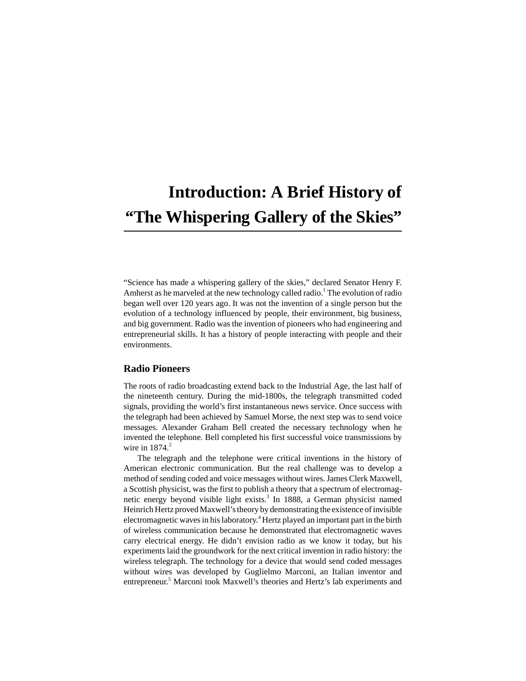# **Introduction: A Brief History of "The Whispering Gallery of the Skies"**

"Science has made a whispering gallery of the skies," declared Senator Henry F. Amherst as he marveled at the new technology called radio.<sup>1</sup> The evolution of radio began well over 120 years ago. It was not the invention of a single person but the evolution of a technology influenced by people, their environment, big business, and big government. Radio was the invention of pioneers who had engineering and entrepreneurial skills. It has a history of people interacting with people and their environments.

# **Radio Pioneers**

The roots of radio broadcasting extend back to the Industrial Age, the last half of the nineteenth century. During the mid-1800s, the telegraph transmitted coded signals, providing the world's first instantaneous news service. Once success with the telegraph had been achieved by Samuel Morse, the next step was to send voice messages. Alexander Graham Bell created the necessary technology when he invented the telephone. Bell completed his first successful voice transmissions by wire in  $1874.<sup>2</sup>$ 

The telegraph and the telephone were critical inventions in the history of American electronic communication. But the real challenge was to develop a method of sending coded and voice messages without wires. James Clerk Maxwell, a Scottish physicist, was the first to publish a theory that a spectrum of electromagnetic energy beyond visible light exists.<sup>3</sup> In 1888, a German physicist named Heinrich Hertz proved Maxwell's theory by demonstrating the existence of invisible electromagnetic waves in his laboratory.<sup>4</sup> Hertz played an important part in the birth of wireless communication because he demonstrated that electromagnetic waves carry electrical energy. He didn't envision radio as we know it today, but his experiments laid the groundwork for the next critical invention in radio history: the wireless telegraph. The technology for a device that would send coded messages without wires was developed by Guglielmo Marconi, an Italian inventor and entrepreneur.<sup>5</sup> Marconi took Maxwell's theories and Hertz's lab experiments and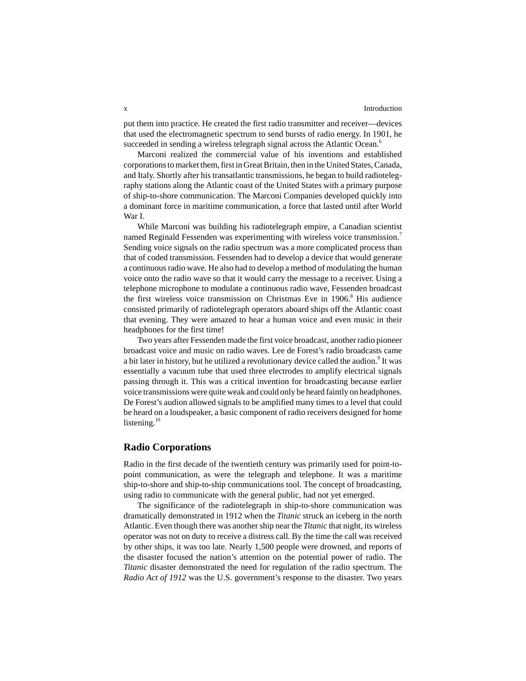#### x Introduction

put them into practice. He created the first radio transmitter and receiver—devices that used the electromagnetic spectrum to send bursts of radio energy. In 1901, he succeeded in sending a wireless telegraph signal across the Atlantic Ocean.<sup>6</sup>

Marconi realized the commercial value of his inventions and established corporations to market them, first in Great Britain, then in the United States, Canada, and Italy. Shortly after his transatlantic transmissions, he began to build radiotelegraphy stations along the Atlantic coast of the United States with a primary purpose of ship-to-shore communication. The Marconi Companies developed quickly into a dominant force in maritime communication, a force that lasted until after World War I.

While Marconi was building his radiotelegraph empire, a Canadian scientist named Reginald Fessenden was experimenting with wireless voice transmission.<sup>7</sup> Sending voice signals on the radio spectrum was a more complicated process than that of coded transmission. Fessenden had to develop a device that would generate a continuous radio wave. He also had to develop a method of modulating the human voice onto the radio wave so that it would carry the message to a receiver. Using a telephone microphone to modulate a continuous radio wave, Fessenden broadcast the first wireless voice transmission on Christmas Eve in  $1906$ .<sup>8</sup> His audience consisted primarily of radiotelegraph operators aboard ships off the Atlantic coast that evening. They were amazed to hear a human voice and even music in their headphones for the first time!

Two years after Fessenden made the first voice broadcast, another radio pioneer broadcast voice and music on radio waves. Lee de Forest's radio broadcasts came a bit later in history, but he utilized a revolutionary device called the audion.<sup>9</sup> It was essentially a vacuum tube that used three electrodes to amplify electrical signals passing through it. This was a critical invention for broadcasting because earlier voice transmissions were quite weak and could only be heard faintly on headphones. De Forest's audion allowed signals to be amplified many times to a level that could be heard on a loudspeaker, a basic component of radio receivers designed for home listening. $10$ 

# **Radio Corporations**

Radio in the first decade of the twentieth century was primarily used for point-topoint communication, as were the telegraph and telephone. It was a maritime ship-to-shore and ship-to-ship communications tool. The concept of broadcasting, using radio to communicate with the general public, had not yet emerged.

The significance of the radiotelegraph in ship-to-shore communication was dramatically demonstrated in 1912 when the *Titanic* struck an iceberg in the north Atlantic. Even though there was another ship near the *Titanic* that night, its wireless operator was not on duty to receive a distress call. By the time the call was received by other ships, it was too late. Nearly 1,500 people were drowned, and reports of the disaster focused the nation's attention on the potential power of radio. The *Titanic* disaster demonstrated the need for regulation of the radio spectrum. The *Radio Act of 1912* was the U.S. government's response to the disaster. Two years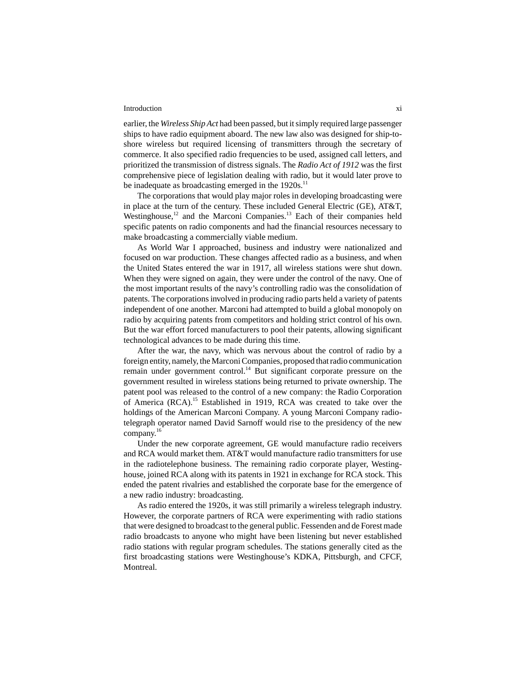#### Introduction  $x_i$

earlier, the *Wireless Ship Act* had been passed, but it simply required large passenger ships to have radio equipment aboard. The new law also was designed for ship-toshore wireless but required licensing of transmitters through the secretary of commerce. It also specified radio frequencies to be used, assigned call letters, and prioritized the transmission of distress signals. The *Radio Act of 1912* was the first comprehensive piece of legislation dealing with radio, but it would later prove to be inadequate as broadcasting emerged in the 1920s.<sup>11</sup>

The corporations that would play major roles in developing broadcasting were in place at the turn of the century. These included General Electric (GE), AT&T, Westinghouse, $12$  and the Marconi Companies. $13$  Each of their companies held specific patents on radio components and had the financial resources necessary to make broadcasting a commercially viable medium.

As World War I approached, business and industry were nationalized and focused on war production. These changes affected radio as a business, and when the United States entered the war in 1917, all wireless stations were shut down. When they were signed on again, they were under the control of the navy. One of the most important results of the navy's controlling radio was the consolidation of patents. The corporations involved in producing radio parts held a variety of patents independent of one another. Marconi had attempted to build a global monopoly on radio by acquiring patents from competitors and holding strict control of his own. But the war effort forced manufacturers to pool their patents, allowing significant technological advances to be made during this time.

After the war, the navy, which was nervous about the control of radio by a foreign entity, namely, the Marconi Companies, proposed that radio communication remain under government control.<sup>14</sup> But significant corporate pressure on the government resulted in wireless stations being returned to private ownership. The patent pool was released to the control of a new company: the Radio Corporation of America (RCA).<sup>15</sup> Established in 1919, RCA was created to take over the holdings of the American Marconi Company. A young Marconi Company radiotelegraph operator named David Sarnoff would rise to the presidency of the new company.16

Under the new corporate agreement, GE would manufacture radio receivers and RCA would market them. AT&T would manufacture radio transmitters for use in the radiotelephone business. The remaining radio corporate player, Westinghouse, joined RCA along with its patents in 1921 in exchange for RCA stock. This ended the patent rivalries and established the corporate base for the emergence of a new radio industry: broadcasting.

As radio entered the 1920s, it was still primarily a wireless telegraph industry. However, the corporate partners of RCA were experimenting with radio stations that were designed to broadcast to the general public. Fessenden and de Forest made radio broadcasts to anyone who might have been listening but never established radio stations with regular program schedules. The stations generally cited as the first broadcasting stations were Westinghouse's KDKA, Pittsburgh, and CFCF, Montreal.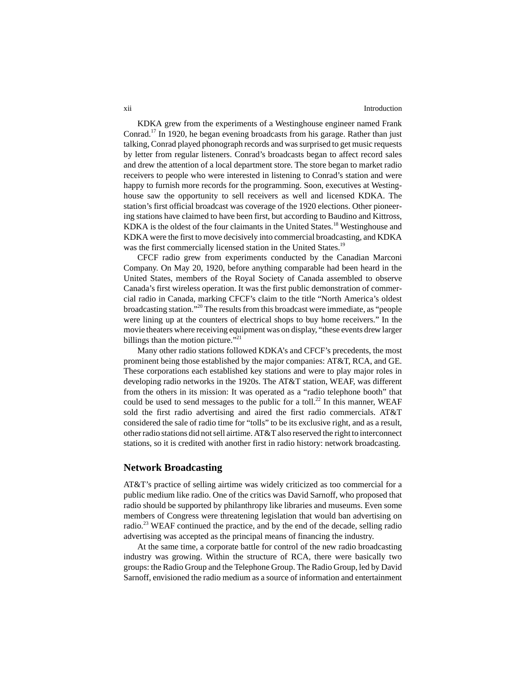#### xii Introduction

KDKA grew from the experiments of a Westinghouse engineer named Frank Conrad.<sup>17</sup> In 1920, he began evening broadcasts from his garage. Rather than just talking, Conrad played phonograph records and was surprised to get music requests by letter from regular listeners. Conrad's broadcasts began to affect record sales and drew the attention of a local department store. The store began to market radio receivers to people who were interested in listening to Conrad's station and were happy to furnish more records for the programming. Soon, executives at Westinghouse saw the opportunity to sell receivers as well and licensed KDKA. The station's first official broadcast was coverage of the 1920 elections. Other pioneering stations have claimed to have been first, but according to Baudino and Kittross, KDKA is the oldest of the four claimants in the United States.<sup>18</sup> Westinghouse and KDKA were the first to move decisively into commercial broadcasting, and KDKA was the first commercially licensed station in the United States.<sup>19</sup>

CFCF radio grew from experiments conducted by the Canadian Marconi Company. On May 20, 1920, before anything comparable had been heard in the United States, members of the Royal Society of Canada assembled to observe Canada's first wireless operation. It was the first public demonstration of commercial radio in Canada, marking CFCF's claim to the title "North America's oldest broadcasting station."20 The results from this broadcast were immediate, as "people were lining up at the counters of electrical shops to buy home receivers." In the movie theaters where receiving equipment was on display, "these events drew larger billings than the motion picture."<sup>21</sup>

Many other radio stations followed KDKA's and CFCF's precedents, the most prominent being those established by the major companies: AT&T, RCA, and GE. These corporations each established key stations and were to play major roles in developing radio networks in the 1920s. The AT&T station, WEAF, was different from the others in its mission: It was operated as a "radio telephone booth" that could be used to send messages to the public for a toll.<sup>22</sup> In this manner, WEAF sold the first radio advertising and aired the first radio commercials. AT&T considered the sale of radio time for "tolls" to be its exclusive right, and as a result, other radio stations did not sell airtime. AT&T also reserved the right to interconnect stations, so it is credited with another first in radio history: network broadcasting.

# **Network Broadcasting**

AT&T's practice of selling airtime was widely criticized as too commercial for a public medium like radio. One of the critics was David Sarnoff, who proposed that radio should be supported by philanthropy like libraries and museums. Even some members of Congress were threatening legislation that would ban advertising on radio.<sup>23</sup> WEAF continued the practice, and by the end of the decade, selling radio advertising was accepted as the principal means of financing the industry.

At the same time, a corporate battle for control of the new radio broadcasting industry was growing. Within the structure of RCA, there were basically two groups: the Radio Group and the Telephone Group. The Radio Group, led by David Sarnoff, envisioned the radio medium as a source of information and entertainment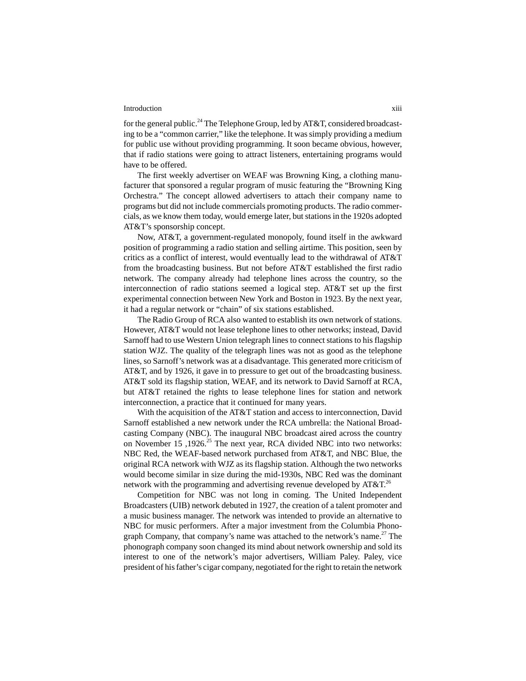#### Introduction xiii

for the general public.<sup>24</sup> The Telephone Group, led by AT&T, considered broadcasting to be a "common carrier," like the telephone. It was simply providing a medium for public use without providing programming. It soon became obvious, however, that if radio stations were going to attract listeners, entertaining programs would have to be offered.

The first weekly advertiser on WEAF was Browning King, a clothing manufacturer that sponsored a regular program of music featuring the "Browning King Orchestra." The concept allowed advertisers to attach their company name to programs but did not include commercials promoting products. The radio commercials, as we know them today, would emerge later, but stations in the 1920s adopted AT&T's sponsorship concept.

Now, AT&T, a government-regulated monopoly, found itself in the awkward position of programming a radio station and selling airtime. This position, seen by critics as a conflict of interest, would eventually lead to the withdrawal of AT&T from the broadcasting business. But not before AT&T established the first radio network. The company already had telephone lines across the country, so the interconnection of radio stations seemed a logical step. AT&T set up the first experimental connection between New York and Boston in 1923. By the next year, it had a regular network or "chain" of six stations established.

The Radio Group of RCA also wanted to establish its own network of stations. However, AT&T would not lease telephone lines to other networks; instead, David Sarnoff had to use Western Union telegraph lines to connect stations to his flagship station WJZ. The quality of the telegraph lines was not as good as the telephone lines, so Sarnoff's network was at a disadvantage. This generated more criticism of AT&T, and by 1926, it gave in to pressure to get out of the broadcasting business. AT&T sold its flagship station, WEAF, and its network to David Sarnoff at RCA, but AT&T retained the rights to lease telephone lines for station and network interconnection, a practice that it continued for many years.

With the acquisition of the AT&T station and access to interconnection, David Sarnoff established a new network under the RCA umbrella: the National Broadcasting Company (NBC). The inaugural NBC broadcast aired across the country on November 15, 1926.<sup>25</sup> The next year, RCA divided NBC into two networks: NBC Red, the WEAF-based network purchased from AT&T, and NBC Blue, the original RCA network with WJZ as its flagship station. Although the two networks would become similar in size during the mid-1930s, NBC Red was the dominant network with the programming and advertising revenue developed by  $AT&T.^{26}$ 

Competition for NBC was not long in coming. The United Independent Broadcasters (UIB) network debuted in 1927, the creation of a talent promoter and a music business manager. The network was intended to provide an alternative to NBC for music performers. After a major investment from the Columbia Phonograph Company, that company's name was attached to the network's name.<sup>27</sup> The phonograph company soon changed its mind about network ownership and sold its interest to one of the network's major advertisers, William Paley. Paley, vice president of his father's cigar company, negotiated for the right to retain the network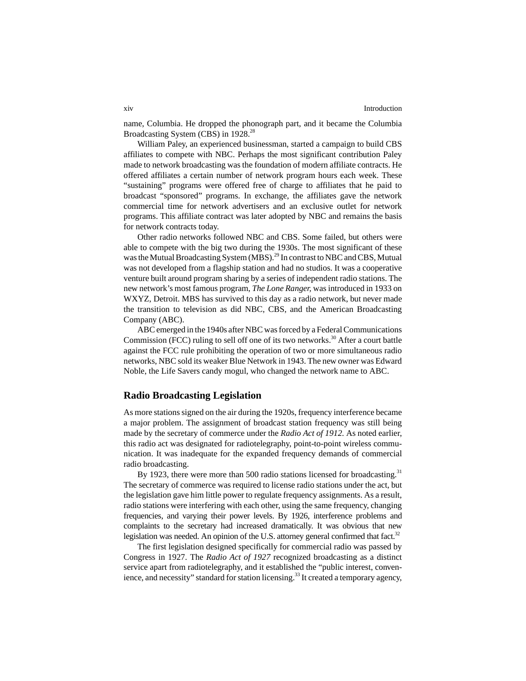name, Columbia. He dropped the phonograph part, and it became the Columbia Broadcasting System (CBS) in 1928.<sup>28</sup>

William Paley, an experienced businessman, started a campaign to build CBS affiliates to compete with NBC. Perhaps the most significant contribution Paley made to network broadcasting was the foundation of modern affiliate contracts. He offered affiliates a certain number of network program hours each week. These "sustaining" programs were offered free of charge to affiliates that he paid to broadcast "sponsored" programs. In exchange, the affiliates gave the network commercial time for network advertisers and an exclusive outlet for network programs. This affiliate contract was later adopted by NBC and remains the basis for network contracts today.

Other radio networks followed NBC and CBS. Some failed, but others were able to compete with the big two during the 1930s. The most significant of these was the Mutual Broadcasting System (MBS).<sup>29</sup> In contrast to NBC and CBS, Mutual was not developed from a flagship station and had no studios. It was a cooperative venture built around program sharing by a series of independent radio stations. The new network's most famous program, *The Lone Ranger,* was introduced in 1933 on WXYZ, Detroit. MBS has survived to this day as a radio network, but never made the transition to television as did NBC, CBS, and the American Broadcasting Company (ABC).

ABC emerged in the 1940s after NBC was forced by a Federal Communications Commission (FCC) ruling to sell off one of its two networks.<sup>30</sup> After a court battle against the FCC rule prohibiting the operation of two or more simultaneous radio networks, NBC sold its weaker Blue Network in 1943. The new owner was Edward Noble, the Life Savers candy mogul, who changed the network name to ABC.

### **Radio Broadcasting Legislation**

As more stations signed on the air during the 1920s, frequency interference became a major problem. The assignment of broadcast station frequency was still being made by the secretary of commerce under the *Radio Act of 1912.* As noted earlier, this radio act was designated for radiotelegraphy, point-to-point wireless communication. It was inadequate for the expanded frequency demands of commercial radio broadcasting.

By 1923, there were more than 500 radio stations licensed for broadcasting.<sup>31</sup> The secretary of commerce was required to license radio stations under the act, but the legislation gave him little power to regulate frequency assignments. As a result, radio stations were interfering with each other, using the same frequency, changing frequencies, and varying their power levels. By 1926, interference problems and complaints to the secretary had increased dramatically. It was obvious that new legislation was needed. An opinion of the U.S. attorney general confirmed that fact. $32$ 

The first legislation designed specifically for commercial radio was passed by Congress in 1927. The *Radio Act of 1927* recognized broadcasting as a distinct service apart from radiotelegraphy, and it established the "public interest, convenience, and necessity" standard for station licensing.<sup>33</sup> It created a temporary agency,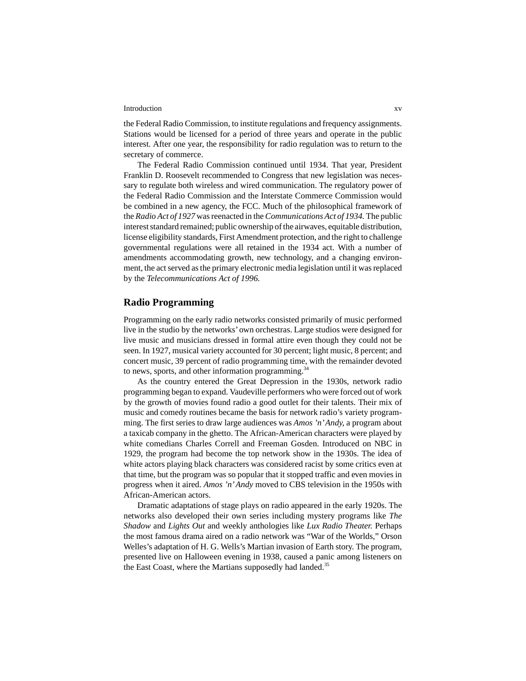#### Introduction xv

the Federal Radio Commission, to institute regulations and frequency assignments. Stations would be licensed for a period of three years and operate in the public interest. After one year, the responsibility for radio regulation was to return to the secretary of commerce.

The Federal Radio Commission continued until 1934. That year, President Franklin D. Roosevelt recommended to Congress that new legislation was necessary to regulate both wireless and wired communication. The regulatory power of the Federal Radio Commission and the Interstate Commerce Commission would be combined in a new agency, the FCC. Much of the philosophical framework of the *Radio Act of 1927* was reenacted in the *Communications Act of 1934.* The public interest standard remained; public ownership of the airwaves, equitable distribution, license eligibility standards, First Amendment protection, and the right to challenge governmental regulations were all retained in the 1934 act. With a number of amendments accommodating growth, new technology, and a changing environment, the act served as the primary electronic media legislation until it was replaced by the *Telecommunications Act of 1996.*

# **Radio Programming**

Programming on the early radio networks consisted primarily of music performed live in the studio by the networks' own orchestras. Large studios were designed for live music and musicians dressed in formal attire even though they could not be seen. In 1927, musical variety accounted for 30 percent; light music, 8 percent; and concert music, 39 percent of radio programming time, with the remainder devoted to news, sports, and other information programming.<sup>34</sup>

As the country entered the Great Depression in the 1930s, network radio programming began to expand. Vaudeville performers who were forced out of work by the growth of movies found radio a good outlet for their talents. Their mix of music and comedy routines became the basis for network radio's variety programming. The first series to draw large audiences was *Amos 'n'Andy,* a program about a taxicab company in the ghetto. The African-American characters were played by white comedians Charles Correll and Freeman Gosden. Introduced on NBC in 1929, the program had become the top network show in the 1930s. The idea of white actors playing black characters was considered racist by some critics even at that time, but the program was so popular that it stopped traffic and even movies in progress when it aired. *Amos 'n'Andy* moved to CBS television in the 1950s with African-American actors.

Dramatic adaptations of stage plays on radio appeared in the early 1920s. The networks also developed their own series including mystery programs like *The Shadow* and *Lights Out* and weekly anthologies like *Lux Radio Theater.* Perhaps the most famous drama aired on a radio network was "War of the Worlds," Orson Welles's adaptation of H. G. Wells's Martian invasion of Earth story. The program, presented live on Halloween evening in 1938, caused a panic among listeners on the East Coast, where the Martians supposedly had landed.<sup>35</sup>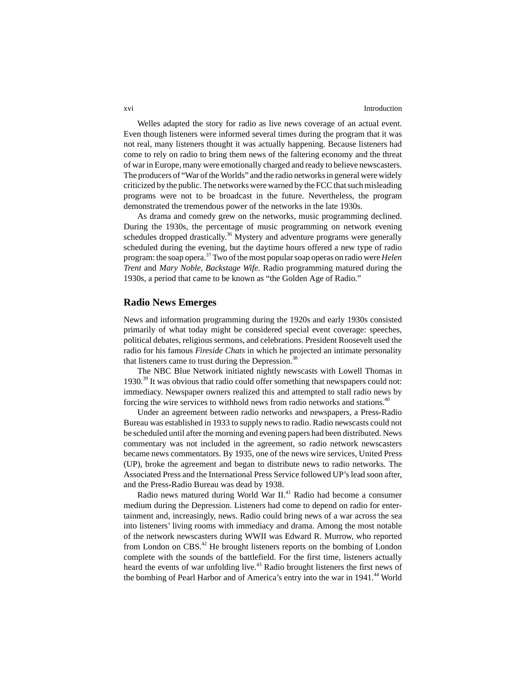#### xvi Introduction

Welles adapted the story for radio as live news coverage of an actual event. Even though listeners were informed several times during the program that it was not real, many listeners thought it was actually happening. Because listeners had come to rely on radio to bring them news of the faltering economy and the threat of war in Europe, many were emotionally charged and ready to believe newscasters. The producers of "War of the Worlds" and the radio networks in general were widely criticized by the public. The networks were warned by the FCC that such misleading programs were not to be broadcast in the future. Nevertheless, the program demonstrated the tremendous power of the networks in the late 1930s.

As drama and comedy grew on the networks, music programming declined. During the 1930s, the percentage of music programming on network evening schedules dropped drastically.<sup>36</sup> Mystery and adventure programs were generally scheduled during the evening, but the daytime hours offered a new type of radio program: the soap opera.37 Two of the most popular soap operas on radio were *Helen Trent* and *Mary Noble, Backstage Wife.* Radio programming matured during the 1930s, a period that came to be known as "the Golden Age of Radio."

# **Radio News Emerges**

News and information programming during the 1920s and early 1930s consisted primarily of what today might be considered special event coverage: speeches, political debates, religious sermons, and celebrations. President Roosevelt used the radio for his famous *Fireside Chats* in which he projected an intimate personality that listeners came to trust during the Depression.<sup>38</sup>

The NBC Blue Network initiated nightly newscasts with Lowell Thomas in 1930.<sup>39</sup> It was obvious that radio could offer something that newspapers could not: immediacy. Newspaper owners realized this and attempted to stall radio news by forcing the wire services to withhold news from radio networks and stations.<sup>40</sup>

Under an agreement between radio networks and newspapers, a Press-Radio Bureau was established in 1933 to supply news to radio. Radio newscasts could not be scheduled until after the morning and evening papers had been distributed. News commentary was not included in the agreement, so radio network newscasters became news commentators. By 1935, one of the news wire services, United Press (UP), broke the agreement and began to distribute news to radio networks. The Associated Press and the International Press Service followed UP's lead soon after, and the Press-Radio Bureau was dead by 1938.

Radio news matured during World War II.<sup>41</sup> Radio had become a consumer medium during the Depression. Listeners had come to depend on radio for entertainment and, increasingly, news. Radio could bring news of a war across the sea into listeners' living rooms with immediacy and drama. Among the most notable of the network newscasters during WWII was Edward R. Murrow, who reported from London on CBS.42 He brought listeners reports on the bombing of London complete with the sounds of the battlefield. For the first time, listeners actually heard the events of war unfolding live.<sup>43</sup> Radio brought listeners the first news of the bombing of Pearl Harbor and of America's entry into the war in 1941.<sup>44</sup> World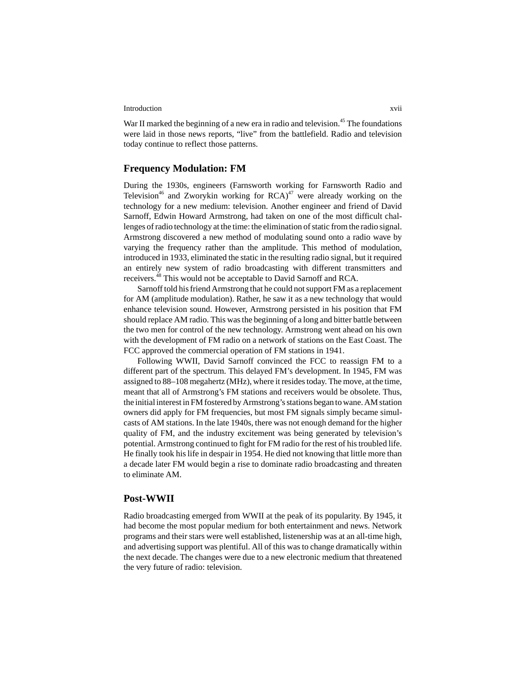#### Introduction xvii

War II marked the beginning of a new era in radio and television.<sup>45</sup> The foundations were laid in those news reports, "live" from the battlefield. Radio and television today continue to reflect those patterns.

# **Frequency Modulation: FM**

During the 1930s, engineers (Farnsworth working for Farnsworth Radio and Television<sup>46</sup> and Zworykin working for  $RCA$ <sup>47</sup> were already working on the technology for a new medium: television. Another engineer and friend of David Sarnoff, Edwin Howard Armstrong, had taken on one of the most difficult challenges of radio technology at the time: the elimination of static from the radio signal. Armstrong discovered a new method of modulating sound onto a radio wave by varying the frequency rather than the amplitude. This method of modulation, introduced in 1933, eliminated the static in the resulting radio signal, but it required an entirely new system of radio broadcasting with different transmitters and receivers.48 This would not be acceptable to David Sarnoff and RCA.

Sarnoff told his friend Armstrong that he could not support FM as a replacement for AM (amplitude modulation). Rather, he saw it as a new technology that would enhance television sound. However, Armstrong persisted in his position that FM should replace AM radio. This was the beginning of a long and bitter battle between the two men for control of the new technology. Armstrong went ahead on his own with the development of FM radio on a network of stations on the East Coast. The FCC approved the commercial operation of FM stations in 1941.

Following WWII, David Sarnoff convinced the FCC to reassign FM to a different part of the spectrum. This delayed FM's development. In 1945, FM was assigned to 88–108 megahertz (MHz), where it resides today. The move, at the time, meant that all of Armstrong's FM stations and receivers would be obsolete. Thus, the initial interest in FM fostered by Armstrong's stations began to wane. AM station owners did apply for FM frequencies, but most FM signals simply became simulcasts of AM stations. In the late 1940s, there was not enough demand for the higher quality of FM, and the industry excitement was being generated by television's potential. Armstrong continued to fight for FM radio for the rest of his troubled life. He finally took his life in despair in 1954. He died not knowing that little more than a decade later FM would begin a rise to dominate radio broadcasting and threaten to eliminate AM.

# **Post-WWII**

Radio broadcasting emerged from WWII at the peak of its popularity. By 1945, it had become the most popular medium for both entertainment and news. Network programs and their stars were well established, listenership was at an all-time high, and advertising support was plentiful. All of this was to change dramatically within the next decade. The changes were due to a new electronic medium that threatened the very future of radio: television.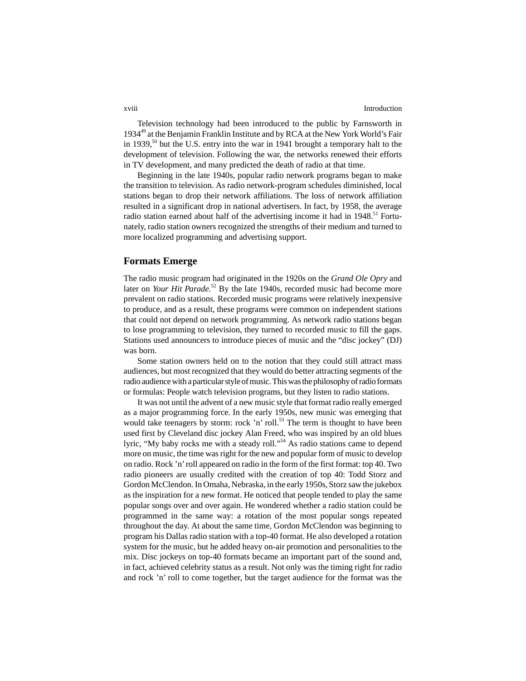Television technology had been introduced to the public by Farnsworth in 1934<sup>49</sup> at the Benjamin Franklin Institute and by RCA at the New York World's Fair in 1939, $50$  but the U.S. entry into the war in 1941 brought a temporary halt to the development of television. Following the war, the networks renewed their efforts in TV development, and many predicted the death of radio at that time.

Beginning in the late 1940s, popular radio network programs began to make the transition to television. As radio network-program schedules diminished, local stations began to drop their network affiliations. The loss of network affiliation resulted in a significant drop in national advertisers. In fact, by 1958, the average radio station earned about half of the advertising income it had in 1948.<sup>51</sup> Fortunately, radio station owners recognized the strengths of their medium and turned to more localized programming and advertising support.

# **Formats Emerge**

The radio music program had originated in the 1920s on the *Grand Ole Opry* and later on *Your Hit Parade.*<sup>52</sup> By the late 1940s, recorded music had become more prevalent on radio stations. Recorded music programs were relatively inexpensive to produce, and as a result, these programs were common on independent stations that could not depend on network programming. As network radio stations began to lose programming to television, they turned to recorded music to fill the gaps. Stations used announcers to introduce pieces of music and the "disc jockey" (DJ) was born.

Some station owners held on to the notion that they could still attract mass audiences, but most recognized that they would do better attracting segments of the radio audience with a particular style of music. This was the philosophy of radio formats or formulas: People watch television programs, but they listen to radio stations.

It was not until the advent of a new music style that format radio really emerged as a major programming force. In the early 1950s, new music was emerging that would take teenagers by storm: rock 'n' roll. $53$  The term is thought to have been used first by Cleveland disc jockey Alan Freed, who was inspired by an old blues lyric, "My baby rocks me with a steady roll."54 As radio stations came to depend more on music, the time was right for the new and popular form of music to develop on radio. Rock 'n'roll appeared on radio in the form of the first format: top 40. Two radio pioneers are usually credited with the creation of top 40: Todd Storz and Gordon McClendon. In Omaha, Nebraska, in the early 1950s, Storz saw the jukebox as the inspiration for a new format. He noticed that people tended to play the same popular songs over and over again. He wondered whether a radio station could be programmed in the same way: a rotation of the most popular songs repeated throughout the day. At about the same time, Gordon McClendon was beginning to program his Dallas radio station with a top-40 format. He also developed a rotation system for the music, but he added heavy on-air promotion and personalities to the mix. Disc jockeys on top-40 formats became an important part of the sound and, in fact, achieved celebrity status as a result. Not only was the timing right for radio and rock 'n' roll to come together, but the target audience for the format was the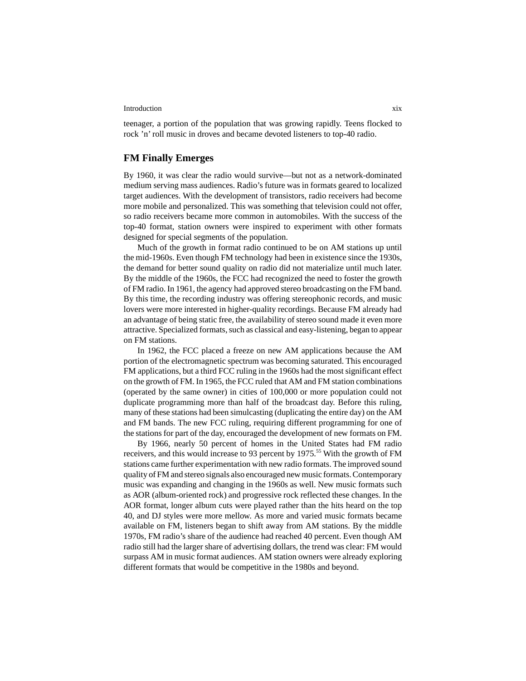#### Introduction xix

teenager, a portion of the population that was growing rapidly. Teens flocked to rock 'n' roll music in droves and became devoted listeners to top-40 radio.

# **FM Finally Emerges**

By 1960, it was clear the radio would survive—but not as a network-dominated medium serving mass audiences. Radio's future was in formats geared to localized target audiences. With the development of transistors, radio receivers had become more mobile and personalized. This was something that television could not offer, so radio receivers became more common in automobiles. With the success of the top-40 format, station owners were inspired to experiment with other formats designed for special segments of the population.

Much of the growth in format radio continued to be on AM stations up until the mid-1960s. Even though FM technology had been in existence since the 1930s, the demand for better sound quality on radio did not materialize until much later. By the middle of the 1960s, the FCC had recognized the need to foster the growth of FM radio. In 1961, the agency had approved stereo broadcasting on the FM band. By this time, the recording industry was offering stereophonic records, and music lovers were more interested in higher-quality recordings. Because FM already had an advantage of being static free, the availability of stereo sound made it even more attractive. Specialized formats, such as classical and easy-listening, began to appear on FM stations.

In 1962, the FCC placed a freeze on new AM applications because the AM portion of the electromagnetic spectrum was becoming saturated. This encouraged FM applications, but a third FCC ruling in the 1960s had the most significant effect on the growth of FM. In 1965, the FCC ruled that AM and FM station combinations (operated by the same owner) in cities of 100,000 or more population could not duplicate programming more than half of the broadcast day. Before this ruling, many of these stations had been simulcasting (duplicating the entire day) on the AM and FM bands. The new FCC ruling, requiring different programming for one of the stations for part of the day, encouraged the development of new formats on FM.

By 1966, nearly 50 percent of homes in the United States had FM radio receivers, and this would increase to 93 percent by 1975.<sup>55</sup> With the growth of FM stations came further experimentation with new radio formats. The improved sound quality of FM and stereo signals also encouraged new music formats. Contemporary music was expanding and changing in the 1960s as well. New music formats such as AOR (album-oriented rock) and progressive rock reflected these changes. In the AOR format, longer album cuts were played rather than the hits heard on the top 40, and DJ styles were more mellow. As more and varied music formats became available on FM, listeners began to shift away from AM stations. By the middle 1970s, FM radio's share of the audience had reached 40 percent. Even though AM radio still had the larger share of advertising dollars, the trend was clear: FM would surpass AM in music format audiences. AM station owners were already exploring different formats that would be competitive in the 1980s and beyond.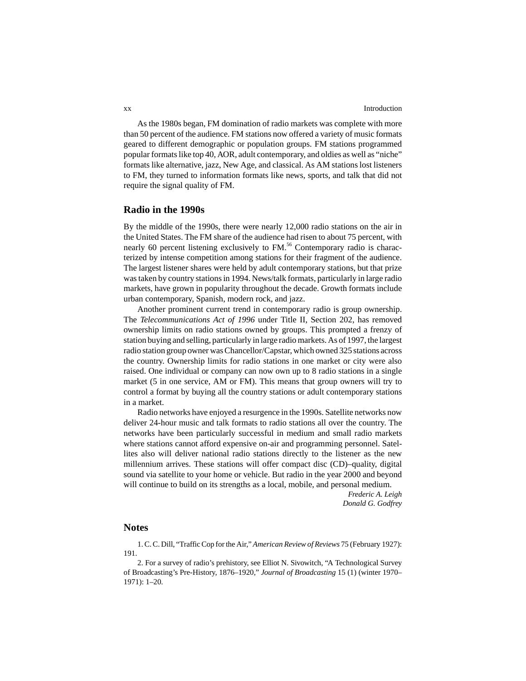#### xx Introduction

As the 1980s began, FM domination of radio markets was complete with more than 50 percent of the audience. FM stations now offered a variety of music formats geared to different demographic or population groups. FM stations programmed popular formats like top 40, AOR, adult contemporary, and oldies as well as "niche" formats like alternative, jazz, New Age, and classical. As AM stations lost listeners to FM, they turned to information formats like news, sports, and talk that did not require the signal quality of FM.

# **Radio in the 1990s**

By the middle of the 1990s, there were nearly 12,000 radio stations on the air in the United States. The FM share of the audience had risen to about 75 percent, with nearly 60 percent listening exclusively to FM.<sup>56</sup> Contemporary radio is characterized by intense competition among stations for their fragment of the audience. The largest listener shares were held by adult contemporary stations, but that prize was taken by country stations in 1994. News/talk formats, particularly in large radio markets, have grown in popularity throughout the decade. Growth formats include urban contemporary, Spanish, modern rock, and jazz.

Another prominent current trend in contemporary radio is group ownership. The *Telecommunications Act of 1996* under Title II, Section 202, has removed ownership limits on radio stations owned by groups. This prompted a frenzy of station buying and selling, particularly in large radio markets. As of 1997, the largest radio station group owner was Chancellor/Capstar, which owned 325 stations across the country. Ownership limits for radio stations in one market or city were also raised. One individual or company can now own up to 8 radio stations in a single market (5 in one service, AM or FM). This means that group owners will try to control a format by buying all the country stations or adult contemporary stations in a market.

Radio networks have enjoyed a resurgence in the 1990s. Satellite networks now deliver 24-hour music and talk formats to radio stations all over the country. The networks have been particularly successful in medium and small radio markets where stations cannot afford expensive on-air and programming personnel. Satellites also will deliver national radio stations directly to the listener as the new millennium arrives. These stations will offer compact disc (CD)–quality, digital sound via satellite to your home or vehicle. But radio in the year 2000 and beyond will continue to build on its strengths as a local, mobile, and personal medium.

> *Frederic A. Leigh Donald G. Godfrey*

# **Notes**

1. C. C. Dill, "Traffic Cop for the Air," *American Review of Reviews* 75 (February 1927): 191.

2. For a survey of radio's prehistory, see Elliot N. Sivowitch, "A Technological Survey of Broadcasting's Pre-History, 1876–1920," *Journal of Broadcasting* 15 (1) (winter 1970– 1971): 1–20.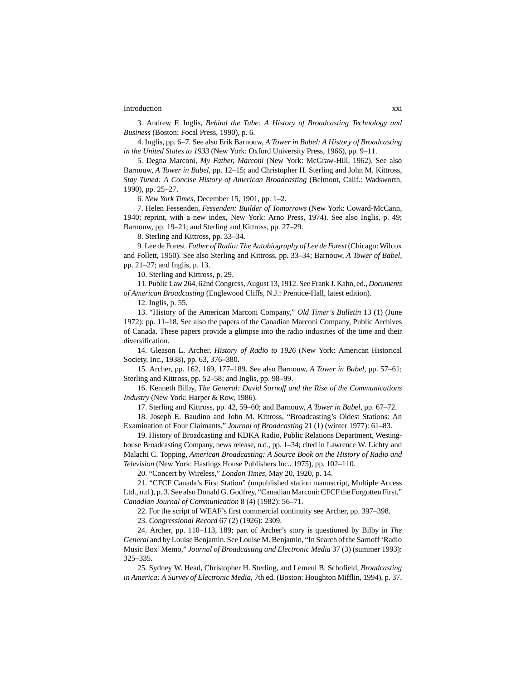#### Introduction xxi

3. Andrew F. Inglis, *Behind the Tube: A History of Broadcasting Technology and Business* (Boston: Focal Press, 1990), p. 6.

4. Inglis, pp. 6–7. See also Erik Barnouw, *A Tower in Babel: A History of Broadcasting in the United States to 1933* (New York: Oxford University Press, 1966), pp. 9–11.

5. Degna Marconi, *My Father, Marconi* (New York: McGraw-Hill, 1962). See also Barnouw, *A Tower in Babel,* pp. 12–15; and Christopher H. Sterling and John M. Kittross, *Stay Tuned: A Concise History of American Broadcasting* (Belmont, Calif.: Wadsworth, 1990), pp. 25–27.

6. *New York Times,* December 15, 1901, pp. 1–2.

7. Helen Fessenden, *Fessenden: Builder of Tomorrows* (New York: Coward-McCann, 1940; reprint, with a new index, New York: Arno Press, 1974). See also Inglis, p. 49; Barnouw, pp. 19–21; and Sterling and Kittross, pp. 27–29.

8. Sterling and Kittross, pp. 33–34.

9. Lee de Forest. *Father of Radio: The Autobiography of Lee de Forest*(Chicago: Wilcox and Follett, 1950). See also Sterling and Kittross, pp. 33–34; Barnouw, *A Tower of Babel,* pp. 21–27; and Inglis, p. 13.

10. Sterling and Kittross, p. 29.

11. Public Law 264, 62nd Congress, August 13, 1912. See Frank J. Kahn, ed., *Documents of American Broadcasting* (Englewood Cliffs, N.J.: Prentice-Hall, latest edition).

12. Inglis, p. 55.

13. "History of the American Marconi Company," *Old Timer's Bulletin* 13 (1) (June 1972): pp. 11–18. See also the papers of the Canadian Marconi Company, Public Archives of Canada. These papers provide a glimpse into the radio industries of the time and their diversification.

14. Gleason L. Archer, *History of Radio to 1926* (New York: American Historical Society, Inc., 1938), pp. 63, 376–380.

15. Archer, pp. 162, 169, 177–189. See also Barnouw, *A Tower in Babel,* pp. 57–61; Sterling and Kittross, pp. 52–58; and Inglis, pp. 98–99.

16. Kenneth Bilby, *The General: David Sarnoff and the Rise of the Communications Industry* (New York: Harper & Row, 1986).

17. Sterling and Kittross, pp. 42, 59–60; and Barnouw, *A Tower in Babel,* pp. 67–72.

18. Joseph E. Baudino and John M. Kittross, "Broadcasting's Oldest Stations: An Examination of Four Claimants," *Journal of Broadcasting* 21 (1) (winter 1977): 61–83.

19. History of Broadcasting and KDKA Radio, Public Relations Department, Westinghouse Broadcasting Company, news release, n.d., pp. 1–34; cited in Lawrence W. Lichty and Malachi C. Topping, *American Broadcasting: A Source Book on the History of Radio and Television* (New York: Hastings House Publishers Inc., 1975), pp. 102–110.

20. "Concert by Wireless," *London Times,* May 20, 1920, p. 14.

21. "CFCF Canada's First Station" (unpublished station manuscript, Multiple Access Ltd., n.d.), p. 3. See also Donald G. Godfrey, "Canadian Marconi: CFCF the Forgotten First," *Canadian Journal of Communication* 8 (4) (1982): 56–71.

22. For the script of WEAF's first commercial continuity see Archer, pp. 397–398.

23. *Congressional Record* 67 (2) (1926): 2309.

24. Archer, pp. 110–113, 189; part of Archer's story is questioned by Bilby in *The General* and by Louise Benjamin. See Louise M. Benjamin, "In Search of the Sarnoff 'Radio Music Box' Memo," *Journal of Broadcasting and Electronic Media* 37 (3) (summer 1993): 325–335.

25. Sydney W. Head, Christopher H. Sterling, and Lemeul B. Schofield, *Broadcasting in America: A Survey of Electronic Media,* 7th ed. (Boston: Houghton Mifflin, 1994), p. 37.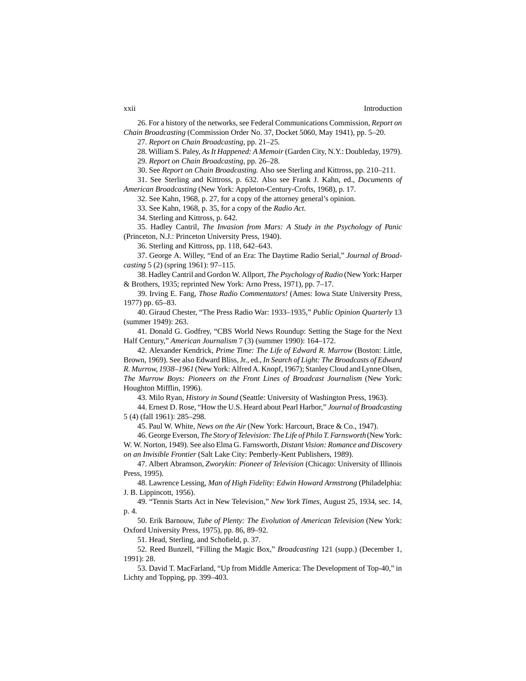26. For a history of the networks, see Federal Communications Commission, *Report on Chain Broadcasting* (Commission Order No. 37, Docket 5060, May 1941), pp. 5–20.

27. *Report on Chain Broadcasting,* pp. 21–25.

28. William S. Paley, *As It Happened: A Memoir* (Garden City, N.Y.: Doubleday, 1979).

29. *Report on Chain Broadcasting,* pp. 26–28.

30. See *Report on Chain Broadcasting.* Also see Sterling and Kittross, pp. 210–211.

31. See Sterling and Kittross, p. 632. Also see Frank J. Kahn, ed., *Documents of American Broadcasting* (New York: Appleton-Century-Crofts, 1968), p. 17.

32. See Kahn, 1968, p. 27, for a copy of the attorney general's opinion.

33. See Kahn, 1968, p. 35, for a copy of the *Radio Act.*

34. Sterling and Kittross, p. 642.

35. Hadley Cantril, *The Invasion from Mars: A Study in the Psychology of Panic* (Princeton, N.J.: Princeton University Press, 1940).

36. Sterling and Kittross, pp. 118, 642–643.

37. George A. Willey, "End of an Era: The Daytime Radio Serial," *Journal of Broadcasting* 5 (2) (spring 1961): 97–115.

38. Hadley Cantril and Gordon W. Allport, *The Psychology of Radio* (New York: Harper & Brothers, 1935; reprinted New York: Arno Press, 1971), pp. 7–17.

39. Irving E. Fang, *Those Radio Commentators!* (Ames: Iowa State University Press, 1977) pp. 65–83.

40. Giraud Chester, "The Press Radio War: 1933–1935," *Public Opinion Quarterly* 13 (summer 1949): 263.

41. Donald G. Godfrey, "CBS World News Roundup: Setting the Stage for the Next Half Century," *American Journalism* 7 (3) (summer 1990): 164–172.

42. Alexander Kendrick, *Prime Time: The Life of Edward R. Murrow* (Boston: Little, Brown, 1969). See also Edward Bliss, Jr., ed., *In Search of Light: The Broadcasts of Edward R. Murrow, 1938–1961* (New York: Alfred A. Knopf, 1967); Stanley Cloud and Lynne Olsen, *The Murrow Boys: Pioneers on the Front Lines of Broadcast Journalism* (New York: Houghton Mifflin, 1996).

43. Milo Ryan, *History in Sound* (Seattle: University of Washington Press, 1963).

44. Ernest D. Rose, "How the U.S. Heard about Pearl Harbor," *Journal of Broadcasting* 5 (4) (fall 1961): 285–298.

45. Paul W. White, *News on the Air* (New York: Harcourt, Brace & Co., 1947).

46. George Everson, *The Story of Television: The Life of Philo T. Farnsworth* (NewYork: W. W. Norton, 1949). See also Elma G. Farnsworth, *Distant Vision: Romance and Discovery on an Invisible Frontier* (Salt Lake City: Pemberly-Kent Publishers, 1989).

47. Albert Abramson, *Zworykin: Pioneer of Television* (Chicago: University of Illinois Press, 1995).

48. Lawrence Lessing, *Man of High Fidelity: Edwin Howard Armstrong* (Philadelphia: J. B. Lippincott, 1956).

49. "Tennis Starts Act in New Television," *New York Times,* August 25, 1934, sec. 14, p. 4.

50. Erik Barnouw, *Tube of Plenty: The Evolution of American Television* (New York: Oxford University Press, 1975), pp. 86, 89–92.

51. Head, Sterling, and Schofield, p. 37.

52. Reed Bunzell, "Filling the Magic Box," *Broadcasting* 121 (supp.) (December 1, 1991): 28.

53. David T. MacFarland, "Up from Middle America: The Development of Top-40," in Lichty and Topping, pp. 399–403.